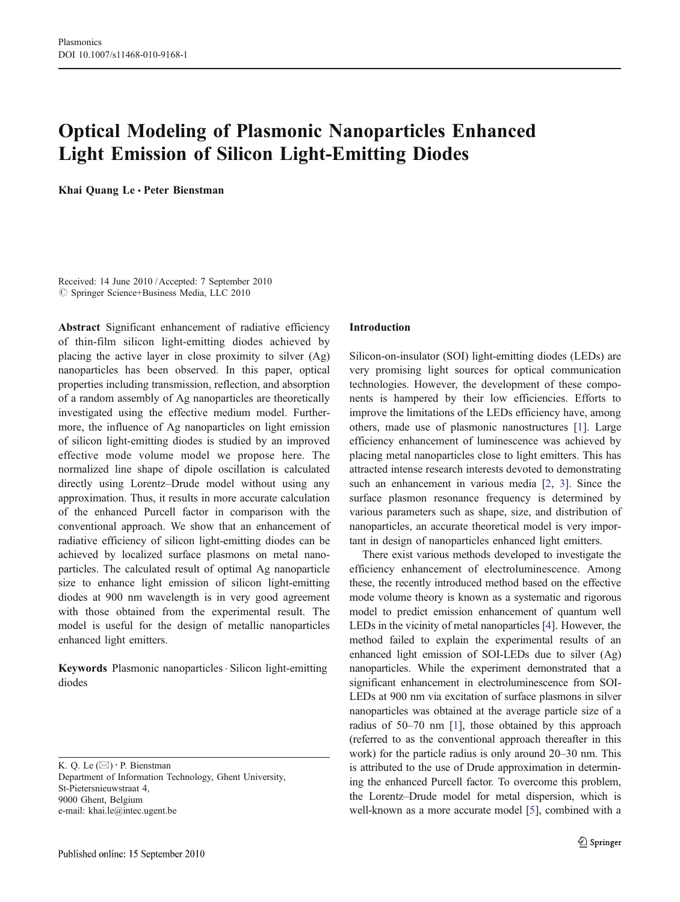# Optical Modeling of Plasmonic Nanoparticles Enhanced Light Emission of Silicon Light-Emitting Diodes

Khai Quang Le · Peter Bienstman

Received: 14 June 2010 /Accepted: 7 September 2010  $©$  Springer Science+Business Media, LLC 2010

Abstract Significant enhancement of radiative efficiency of thin-film silicon light-emitting diodes achieved by placing the active layer in close proximity to silver (Ag) nanoparticles has been observed. In this paper, optical properties including transmission, reflection, and absorption of a random assembly of Ag nanoparticles are theoretically investigated using the effective medium model. Furthermore, the influence of Ag nanoparticles on light emission of silicon light-emitting diodes is studied by an improved effective mode volume model we propose here. The normalized line shape of dipole oscillation is calculated directly using Lorentz–Drude model without using any approximation. Thus, it results in more accurate calculation of the enhanced Purcell factor in comparison with the conventional approach. We show that an enhancement of radiative efficiency of silicon light-emitting diodes can be achieved by localized surface plasmons on metal nanoparticles. The calculated result of optimal Ag nanoparticle size to enhance light emission of silicon light-emitting diodes at 900 nm wavelength is in very good agreement with those obtained from the experimental result. The model is useful for the design of metallic nanoparticles enhanced light emitters.

Keywords Plasmonic nanoparticles. Silicon light-emitting diodes

K. Q. Le  $(\boxtimes) \cdot$  P. Bienstman Department of Information Technology, Ghent University, St-Pietersnieuwstraat 4, 9000 Ghent, Belgium

e-mail: khai.le@intec.ugent.be

#### Published online: 15 September 2010

#### Introduction

Silicon-on-insulator (SOI) light-emitting diodes (LEDs) are very promising light sources for optical communication technologies. However, the development of these components is hampered by their low efficiencies. Efforts to improve the limitations of the LEDs efficiency have, among others, made use of plasmonic nanostructures [[1\]](#page-3-0). Large efficiency enhancement of luminescence was achieved by placing metal nanoparticles close to light emitters. This has attracted intense research interests devoted to demonstrating such an enhancement in various media [\[2](#page-3-0), [3](#page-3-0)]. Since the surface plasmon resonance frequency is determined by various parameters such as shape, size, and distribution of nanoparticles, an accurate theoretical model is very important in design of nanoparticles enhanced light emitters.

There exist various methods developed to investigate the efficiency enhancement of electroluminescence. Among these, the recently introduced method based on the effective mode volume theory is known as a systematic and rigorous model to predict emission enhancement of quantum well LEDs in the vicinity of metal nanoparticles [\[4](#page-4-0)]. However, the method failed to explain the experimental results of an enhanced light emission of SOI-LEDs due to silver (Ag) nanoparticles. While the experiment demonstrated that a significant enhancement in electroluminescence from SOI-LEDs at 900 nm via excitation of surface plasmons in silver nanoparticles was obtained at the average particle size of a radius of 50–70 nm [[1\]](#page-3-0), those obtained by this approach (referred to as the conventional approach thereafter in this work) for the particle radius is only around 20–30 nm. This is attributed to the use of Drude approximation in determining the enhanced Purcell factor. To overcome this problem, the Lorentz–Drude model for metal dispersion, which is well-known as a more accurate model [\[5\]](#page-4-0), combined with a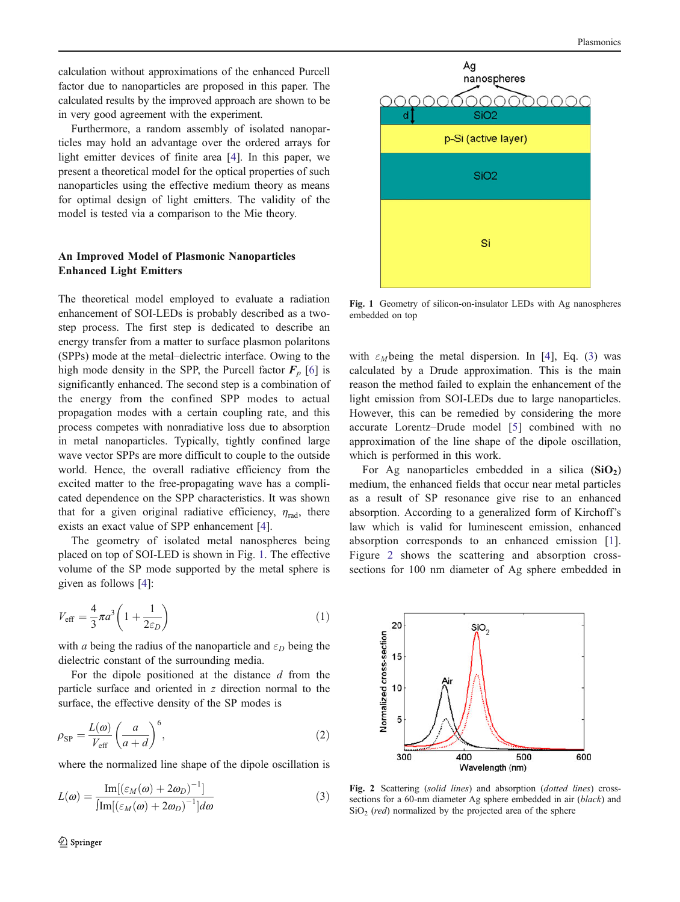calculation without approximations of the enhanced Purcell factor due to nanoparticles are proposed in this paper. The calculated results by the improved approach are shown to be in very good agreement with the experiment.

Furthermore, a random assembly of isolated nanoparticles may hold an advantage over the ordered arrays for light emitter devices of finite area [\[4](#page-4-0)]. In this paper, we present a theoretical model for the optical properties of such nanoparticles using the effective medium theory as means for optimal design of light emitters. The validity of the model is tested via a comparison to the Mie theory.

# An Improved Model of Plasmonic Nanoparticles Enhanced Light Emitters

The theoretical model employed to evaluate a radiation enhancement of SOI-LEDs is probably described as a twostep process. The first step is dedicated to describe an energy transfer from a matter to surface plasmon polaritons (SPPs) mode at the metal–dielectric interface. Owing to the high mode density in the SPP, the Purcell factor  $F_p$  [[6\]](#page-4-0) is significantly enhanced. The second step is a combination of the energy from the confined SPP modes to actual propagation modes with a certain coupling rate, and this process competes with nonradiative loss due to absorption in metal nanoparticles. Typically, tightly confined large wave vector SPPs are more difficult to couple to the outside world. Hence, the overall radiative efficiency from the excited matter to the free-propagating wave has a complicated dependence on the SPP characteristics. It was shown that for a given original radiative efficiency,  $\eta_{rad}$ , there exists an exact value of SPP enhancement [\[4](#page-4-0)].

The geometry of isolated metal nanospheres being placed on top of SOI-LED is shown in Fig. 1. The effective volume of the SP mode supported by the metal sphere is given as follows [[4\]](#page-4-0):

$$
V_{\text{eff}} = \frac{4}{3}\pi a^3 \left(1 + \frac{1}{2\varepsilon_D}\right) \tag{1}
$$

with *a* being the radius of the nanoparticle and  $\varepsilon_D$  being the dielectric constant of the surrounding media.

For the dipole positioned at the distance  $d$  from the particle surface and oriented in z direction normal to the surface, the effective density of the SP modes is

$$
\rho_{SP} = \frac{L(\omega)}{V_{\text{eff}}} \left(\frac{a}{a+d}\right)^6,\tag{2}
$$

where the normalized line shape of the dipole oscillation is

$$
L(\omega) = \frac{\text{Im}[(\varepsilon_M(\omega) + 2\omega_D)^{-1}]}{\text{Im}[(\varepsilon_M(\omega) + 2\omega_D)^{-1}]d\omega}
$$
(3)



Fig. 1 Geometry of silicon-on-insulator LEDs with Ag nanospheres embedded on top

with  $\varepsilon_M$  being the metal dispersion. In [\[4](#page-4-0)], Eq. (3) was calculated by a Drude approximation. This is the main reason the method failed to explain the enhancement of the light emission from SOI-LEDs due to large nanoparticles. However, this can be remedied by considering the more accurate Lorentz–Drude model [[5\]](#page-4-0) combined with no approximation of the line shape of the dipole oscillation, which is performed in this work.

For Ag nanoparticles embedded in a silica  $(SiO<sub>2</sub>)$ medium, the enhanced fields that occur near metal particles as a result of SP resonance give rise to an enhanced absorption. According to a generalized form of Kirchoff's law which is valid for luminescent emission, enhanced absorption corresponds to an enhanced emission [\[1](#page-3-0)]. Figure 2 shows the scattering and absorption crosssections for 100 nm diameter of Ag sphere embedded in



Fig. 2 Scattering (solid lines) and absorption (dotted lines) crosssections for a 60-nm diameter Ag sphere embedded in air *(black)* and  $SiO<sub>2</sub>$  (red) normalized by the projected area of the sphere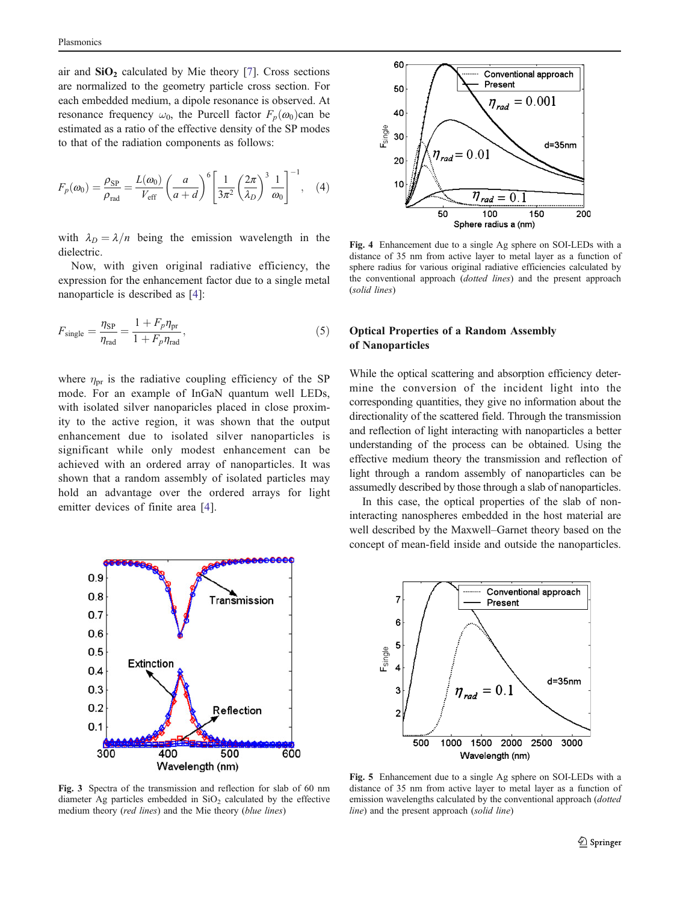<span id="page-2-0"></span>air and  $SiO<sub>2</sub>$  calculated by Mie theory [\[7](#page-4-0)]. Cross sections are normalized to the geometry particle cross section. For each embedded medium, a dipole resonance is observed. At resonance frequency  $\omega_0$ , the Purcell factor  $F_p(\omega_0)$ can be estimated as a ratio of the effective density of the SP modes to that of the radiation components as follows:

$$
F_p(\omega_0) = \frac{\rho_{\rm SP}}{\rho_{\rm rad}} = \frac{L(\omega_0)}{V_{\rm eff}} \left(\frac{a}{a+d}\right)^6 \left[\frac{1}{3\pi^2} \left(\frac{2\pi}{\lambda_D}\right)^3 \frac{1}{\omega_0}\right]^{-1}, \quad (4)
$$

with  $\lambda_D = \lambda/n$  being the emission wavelength in the dielectric.

Now, with given original radiative efficiency, the expression for the enhancement factor due to a single metal nanoparticle is described as [[4\]](#page-4-0):

$$
F_{\text{single}} = \frac{\eta_{\text{SP}}}{\eta_{\text{rad}}} = \frac{1 + F_p \eta_{\text{pr}}}{1 + F_p \eta_{\text{rad}}},\tag{5}
$$

where  $\eta_{\text{pr}}$  is the radiative coupling efficiency of the SP mode. For an example of InGaN quantum well LEDs, with isolated silver nanoparicles placed in close proximity to the active region, it was shown that the output enhancement due to isolated silver nanoparticles is significant while only modest enhancement can be achieved with an ordered array of nanoparticles. It was shown that a random assembly of isolated particles may hold an advantage over the ordered arrays for light emitter devices of finite area [[4](#page-4-0)].



Fig. 3 Spectra of the transmission and reflection for slab of 60 nm diameter Ag particles embedded in  $SiO<sub>2</sub>$  calculated by the effective medium theory (red lines) and the Mie theory (blue lines)



Fig. 4 Enhancement due to a single Ag sphere on SOI-LEDs with a distance of 35 nm from active layer to metal layer as a function of sphere radius for various original radiative efficiencies calculated by the conventional approach (dotted lines) and the present approach (solid lines)

# Optical Properties of a Random Assembly of Nanoparticles

While the optical scattering and absorption efficiency determine the conversion of the incident light into the corresponding quantities, they give no information about the directionality of the scattered field. Through the transmission and reflection of light interacting with nanoparticles a better understanding of the process can be obtained. Using the effective medium theory the transmission and reflection of light through a random assembly of nanoparticles can be assumedly described by those through a slab of nanoparticles.

In this case, the optical properties of the slab of noninteracting nanospheres embedded in the host material are well described by the Maxwell–Garnet theory based on the concept of mean-field inside and outside the nanoparticles.



Fig. 5 Enhancement due to a single Ag sphere on SOI-LEDs with a distance of 35 nm from active layer to metal layer as a function of emission wavelengths calculated by the conventional approach (dotted line) and the present approach (solid line)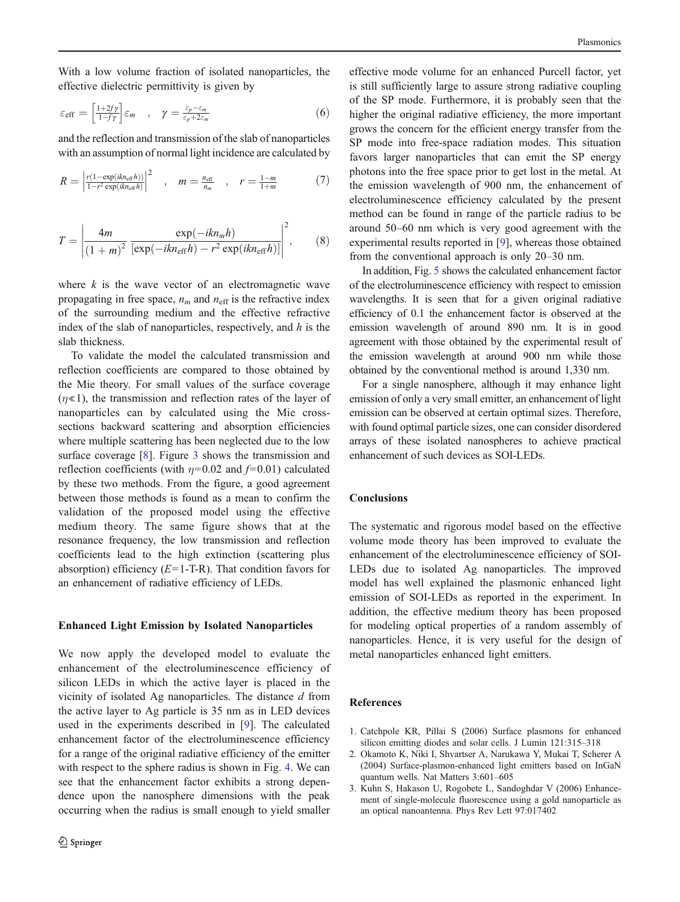<span id="page-3-0"></span>With a low volume fraction of isolated nanoparticles, the effective dielectric permittivity is given by

$$
\varepsilon_{\text{eff}} = \left[ \frac{1+2fy}{1-f\gamma} \right] \varepsilon_m \quad , \quad \gamma = \frac{\varepsilon_p - \varepsilon_m}{\varepsilon_p + 2\varepsilon_m} \tag{6}
$$

and the reflection and transmission of the slab of nanoparticles with an assumption of normal light incidence are calculated by

$$
R = \left| \frac{r(1 - \exp(ikn_{\text{eff}}h))}{1 - r^2 \exp(ikn_{\text{eff}}h)} \right|^2 \quad , \quad m = \frac{n_{\text{eff}}}{n_m} \quad , \quad r = \frac{1 - m}{1 + m} \tag{7}
$$

$$
T = \left| \frac{4m}{(1+m)^2} \frac{\exp(-ikn_m h)}{[\exp(-ikn_{\text{eff}}h) - r^2 \exp(ikn_{\text{eff}}h)]} \right|^2, \qquad (8)
$$

where  $k$  is the wave vector of an electromagnetic wave propagating in free space,  $n_m$  and  $n_{\text{eff}}$  is the refractive index of the surrounding medium and the effective refractive index of the slab of nanoparticles, respectively, and  $h$  is the slab thickness.

To validate the model the calculated transmission and reflection coefficients are compared to those obtained by the Mie theory. For small values of the surface coverage  $(\eta \ll 1)$ , the transmission and reflection rates of the layer of nanoparticles can by calculated using the Mie crosssections backward scattering and absorption efficiencies where multiple scattering has been neglected due to the low surface coverage [\[8](#page-4-0)]. Figure [3](#page-2-0) shows the transmission and reflection coefficients (with  $\eta$ =0.02 and  $f$ =0.01) calculated by these two methods. From the figure, a good agreement between those methods is found as a mean to confirm the validation of the proposed model using the effective medium theory. The same figure shows that at the resonance frequency, the low transmission and reflection coefficients lead to the high extinction (scattering plus absorption) efficiency  $(E=1-T-R)$ . That condition favors for an enhancement of radiative efficiency of LEDs.

#### Enhanced Light Emission by Isolated Nanoparticles

We now apply the developed model to evaluate the enhancement of the electroluminescence efficiency of silicon LEDs in which the active layer is placed in the vicinity of isolated Ag nanoparticles. The distance  $d$  from the active layer to Ag particle is 35 nm as in LED devices used in the experiments described in [[9\]](#page-4-0). The calculated enhancement factor of the electroluminescence efficiency for a range of the original radiative efficiency of the emitter with respect to the sphere radius is shown in Fig. [4](#page-2-0). We can see that the enhancement factor exhibits a strong dependence upon the nanosphere dimensions with the peak occurring when the radius is small enough to yield smaller

effective mode volume for an enhanced Purcell factor, yet is still sufficiently large to assure strong radiative coupling of the SP mode. Furthermore, it is probably seen that the higher the original radiative efficiency, the more important grows the concern for the efficient energy transfer from the SP mode into free-space radiation modes. This situation favors larger nanoparticles that can emit the SP energy photons into the free space prior to get lost in the metal. At the emission wavelength of 900 nm, the enhancement of electroluminescence efficiency calculated by the present method can be found in range of the particle radius to be around 50–60 nm which is very good agreement with the experimental results reported in [[9\]](#page-4-0), whereas those obtained from the conventional approach is only 20–30 nm.

In addition, Fig. [5](#page-2-0) shows the calculated enhancement factor of the electroluminescence efficiency with respect to emission wavelengths. It is seen that for a given original radiative efficiency of 0.1 the enhancement factor is observed at the emission wavelength of around 890 nm. It is in good agreement with those obtained by the experimental result of the emission wavelength at around 900 nm while those obtained by the conventional method is around 1,330 nm.

For a single nanosphere, although it may enhance light emission of only a very small emitter, an enhancement of light emission can be observed at certain optimal sizes. Therefore, with found optimal particle sizes, one can consider disordered arrays of these isolated nanospheres to achieve practical enhancement of such devices as SOI-LEDs.

### **Conclusions**

The systematic and rigorous model based on the effective volume mode theory has been improved to evaluate the enhancement of the electroluminescence efficiency of SOI-LEDs due to isolated Ag nanoparticles. The improved model has well explained the plasmonic enhanced light emission of SOI-LEDs as reported in the experiment. In addition, the effective medium theory has been proposed for modeling optical properties of a random assembly of nanoparticles. Hence, it is very useful for the design of metal nanoparticles enhanced light emitters.

## References

- 1. Catchpole KR, Pillai S (2006) Surface plasmons for enhanced silicon emitting diodes and solar cells. J Lumin 121:315–318
- 2. Okamoto K, Niki I, Shvartser A, Narukawa Y, Mukai T, Scherer A (2004) Surface-plasmon-enhanced light emitters based on InGaN quantum wells. Nat Matters 3:601–605
- 3. Kuhn S, Hakason U, Rogobete L, Sandoghdar V (2006) Enhancement of single-molecule fluorescence using a gold nanoparticle as an optical nanoantenna. Phys Rev Lett 97:017402